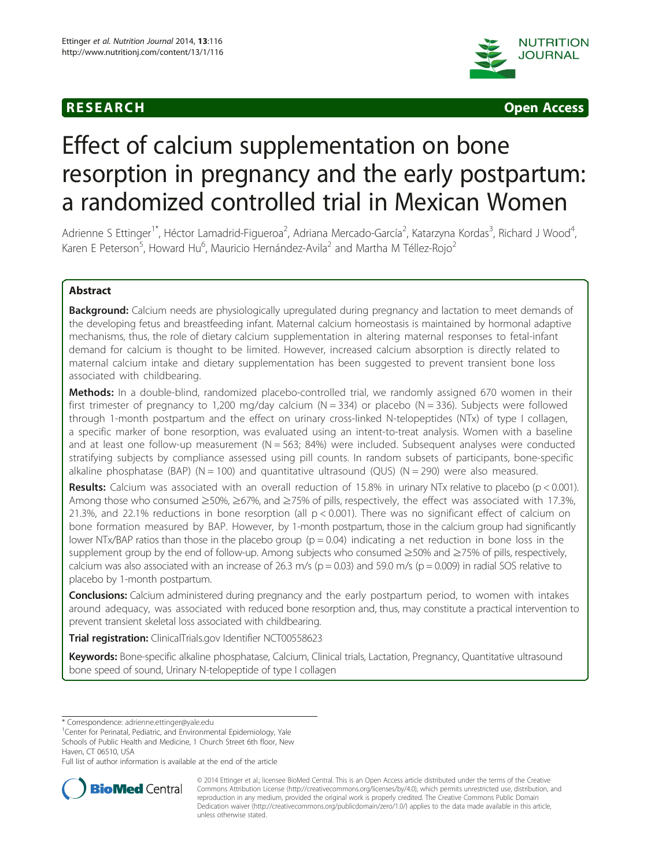



# Effect of calcium supplementation on bone resorption in pregnancy and the early postpartum: a randomized controlled trial in Mexican Women

Adrienne S Ettinger<sup>1\*</sup>, Héctor Lamadrid-Figueroa<sup>2</sup>, Adriana Mercado-García<sup>2</sup>, Katarzyna Kordas<sup>3</sup>, Richard J Wood<sup>4</sup> , Karen E Peterson<sup>5</sup>, Howard Hu<sup>6</sup>, Mauricio Hernández-Avila<sup>2</sup> and Martha M Téllez-Rojo<sup>2</sup>

# Abstract

Background: Calcium needs are physiologically upregulated during pregnancy and lactation to meet demands of the developing fetus and breastfeeding infant. Maternal calcium homeostasis is maintained by hormonal adaptive mechanisms, thus, the role of dietary calcium supplementation in altering maternal responses to fetal-infant demand for calcium is thought to be limited. However, increased calcium absorption is directly related to maternal calcium intake and dietary supplementation has been suggested to prevent transient bone loss associated with childbearing.

Methods: In a double-blind, randomized placebo-controlled trial, we randomly assigned 670 women in their first trimester of pregnancy to 1,200 mg/day calcium ( $N = 334$ ) or placebo ( $N = 336$ ). Subjects were followed through 1-month postpartum and the effect on urinary cross-linked N-telopeptides (NTx) of type I collagen, a specific marker of bone resorption, was evaluated using an intent-to-treat analysis. Women with a baseline and at least one follow-up measurement  $(N = 563; 84%)$  were included. Subsequent analyses were conducted stratifying subjects by compliance assessed using pill counts. In random subsets of participants, bone-specific alkaline phosphatase (BAP) (N = 100) and quantitative ultrasound (QUS) (N = 290) were also measured.

**Results:** Calcium was associated with an overall reduction of 15.8% in urinary NTx relative to placebo (p < 0.001). Among those who consumed ≥50%, ≥67%, and ≥75% of pills, respectively, the effect was associated with 17.3%, 21.3%, and 22.1% reductions in bone resorption (all  $p < 0.001$ ). There was no significant effect of calcium on bone formation measured by BAP. However, by 1-month postpartum, those in the calcium group had significantly lower NTx/BAP ratios than those in the placebo group ( $p = 0.04$ ) indicating a net reduction in bone loss in the supplement group by the end of follow-up. Among subjects who consumed ≥50% and ≥75% of pills, respectively, calcium was also associated with an increase of 26.3 m/s ( $p = 0.03$ ) and 59.0 m/s ( $p = 0.009$ ) in radial SOS relative to placebo by 1-month postpartum.

**Conclusions:** Calcium administered during pregnancy and the early postpartum period, to women with intakes around adequacy, was associated with reduced bone resorption and, thus, may constitute a practical intervention to prevent transient skeletal loss associated with childbearing.

Trial registration: ClinicalTrials.gov Identifier [NCT00558623](http://www.clinicaltrials.gov/NCT00558623)

Keywords: Bone-specific alkaline phosphatase, Calcium, Clinical trials, Lactation, Pregnancy, Quantitative ultrasound bone speed of sound, Urinary N-telopeptide of type I collagen

\* Correspondence: [adrienne.ettinger@yale.edu](mailto:adrienne.ettinger@yale.edu) <sup>1</sup>

<sup>1</sup>Center for Perinatal, Pediatric, and Environmental Epidemiology, Yale Schools of Public Health and Medicine, 1 Church Street 6th floor, New

Full list of author information is available at the end of the article



<sup>© 2014</sup> Ettinger et al.; licensee BioMed Central. This is an Open Access article distributed under the terms of the Creative Commons Attribution License [\(http://creativecommons.org/licenses/by/4.0\)](http://creativecommons.org/licenses/by/4.0), which permits unrestricted use, distribution, and reproduction in any medium, provided the original work is properly credited. The Creative Commons Public Domain Dedication waiver [\(http://creativecommons.org/publicdomain/zero/1.0/](http://creativecommons.org/publicdomain/zero/1.0/)) applies to the data made available in this article, unless otherwise stated.

Haven, CT 06510, USA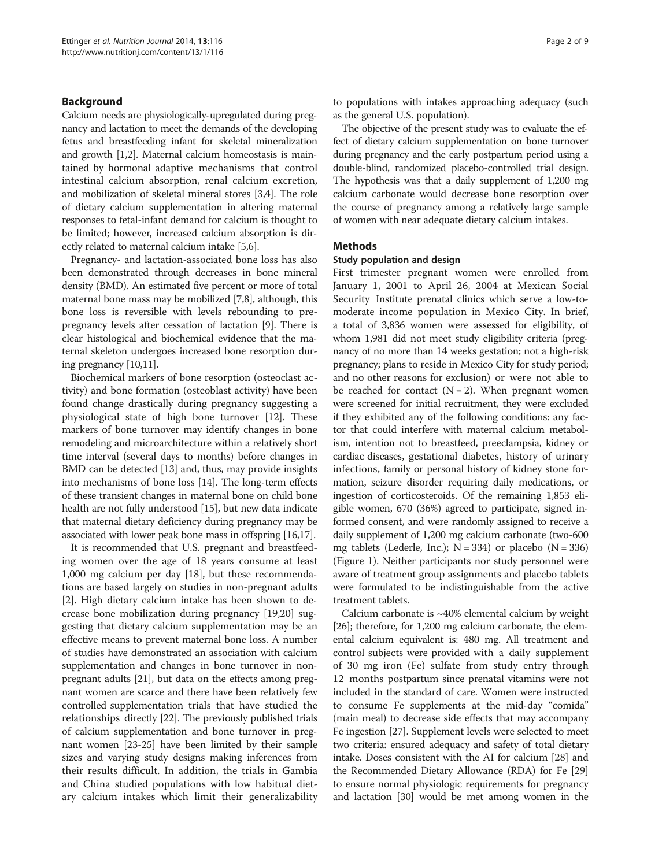# Background

Calcium needs are physiologically-upregulated during pregnancy and lactation to meet the demands of the developing fetus and breastfeeding infant for skeletal mineralization and growth [[1](#page-7-0),[2](#page-7-0)]. Maternal calcium homeostasis is maintained by hormonal adaptive mechanisms that control intestinal calcium absorption, renal calcium excretion, and mobilization of skeletal mineral stores [[3,4](#page-7-0)]. The role of dietary calcium supplementation in altering maternal responses to fetal-infant demand for calcium is thought to be limited; however, increased calcium absorption is directly related to maternal calcium intake [\[5,6](#page-7-0)].

Pregnancy- and lactation-associated bone loss has also been demonstrated through decreases in bone mineral density (BMD). An estimated five percent or more of total maternal bone mass may be mobilized [\[7,8](#page-7-0)], although, this bone loss is reversible with levels rebounding to prepregnancy levels after cessation of lactation [[9\]](#page-7-0). There is clear histological and biochemical evidence that the maternal skeleton undergoes increased bone resorption during pregnancy [[10,11](#page-7-0)].

Biochemical markers of bone resorption (osteoclast activity) and bone formation (osteoblast activity) have been found change drastically during pregnancy suggesting a physiological state of high bone turnover [[12](#page-7-0)]. These markers of bone turnover may identify changes in bone remodeling and microarchitecture within a relatively short time interval (several days to months) before changes in BMD can be detected [\[13\]](#page-7-0) and, thus, may provide insights into mechanisms of bone loss [\[14](#page-7-0)]. The long-term effects of these transient changes in maternal bone on child bone health are not fully understood [[15](#page-7-0)], but new data indicate that maternal dietary deficiency during pregnancy may be associated with lower peak bone mass in offspring [\[16,17\]](#page-8-0).

It is recommended that U.S. pregnant and breastfeeding women over the age of 18 years consume at least 1,000 mg calcium per day [\[18](#page-8-0)], but these recommendations are based largely on studies in non-pregnant adults [[2\]](#page-7-0). High dietary calcium intake has been shown to decrease bone mobilization during pregnancy [\[19,20](#page-8-0)] suggesting that dietary calcium supplementation may be an effective means to prevent maternal bone loss. A number of studies have demonstrated an association with calcium supplementation and changes in bone turnover in nonpregnant adults [\[21\]](#page-8-0), but data on the effects among pregnant women are scarce and there have been relatively few controlled supplementation trials that have studied the relationships directly [[22](#page-8-0)]. The previously published trials of calcium supplementation and bone turnover in pregnant women [\[23-25](#page-8-0)] have been limited by their sample sizes and varying study designs making inferences from their results difficult. In addition, the trials in Gambia and China studied populations with low habitual dietary calcium intakes which limit their generalizability to populations with intakes approaching adequacy (such as the general U.S. population).

The objective of the present study was to evaluate the effect of dietary calcium supplementation on bone turnover during pregnancy and the early postpartum period using a double-blind, randomized placebo-controlled trial design. The hypothesis was that a daily supplement of 1,200 mg calcium carbonate would decrease bone resorption over the course of pregnancy among a relatively large sample of women with near adequate dietary calcium intakes.

## Methods

#### Study population and design

First trimester pregnant women were enrolled from January 1, 2001 to April 26, 2004 at Mexican Social Security Institute prenatal clinics which serve a low-tomoderate income population in Mexico City. In brief, a total of 3,836 women were assessed for eligibility, of whom 1,981 did not meet study eligibility criteria (pregnancy of no more than 14 weeks gestation; not a high-risk pregnancy; plans to reside in Mexico City for study period; and no other reasons for exclusion) or were not able to be reached for contact  $(N = 2)$ . When pregnant women were screened for initial recruitment, they were excluded if they exhibited any of the following conditions: any factor that could interfere with maternal calcium metabolism, intention not to breastfeed, preeclampsia, kidney or cardiac diseases, gestational diabetes, history of urinary infections, family or personal history of kidney stone formation, seizure disorder requiring daily medications, or ingestion of corticosteroids. Of the remaining 1,853 eligible women, 670 (36%) agreed to participate, signed informed consent, and were randomly assigned to receive a daily supplement of 1,200 mg calcium carbonate (two-600 mg tablets (Lederle, Inc.);  $N = 334$ ) or placebo ( $N = 336$ ) (Figure [1](#page-2-0)). Neither participants nor study personnel were aware of treatment group assignments and placebo tablets were formulated to be indistinguishable from the active treatment tablets.

Calcium carbonate is  $~40\%$  elemental calcium by weight [[26](#page-8-0)]; therefore, for 1,200 mg calcium carbonate, the elemental calcium equivalent is: 480 mg. All treatment and control subjects were provided with a daily supplement of 30 mg iron (Fe) sulfate from study entry through 12 months postpartum since prenatal vitamins were not included in the standard of care. Women were instructed to consume Fe supplements at the mid-day "comida" (main meal) to decrease side effects that may accompany Fe ingestion [\[27\]](#page-8-0). Supplement levels were selected to meet two criteria: ensured adequacy and safety of total dietary intake. Doses consistent with the AI for calcium [[28](#page-8-0)] and the Recommended Dietary Allowance (RDA) for Fe [[29](#page-8-0)] to ensure normal physiologic requirements for pregnancy and lactation [\[30\]](#page-8-0) would be met among women in the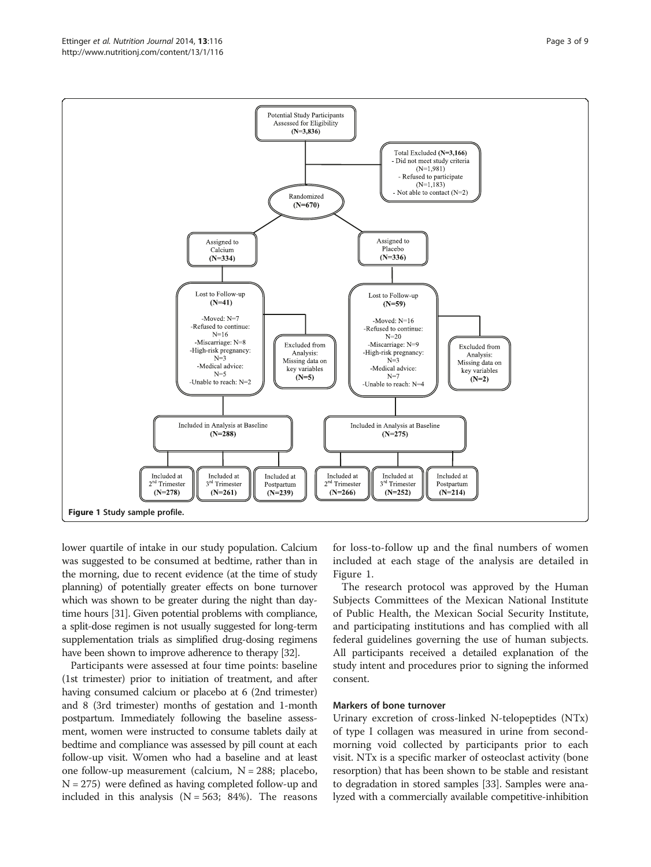<span id="page-2-0"></span>

lower quartile of intake in our study population. Calcium was suggested to be consumed at bedtime, rather than in the morning, due to recent evidence (at the time of study planning) of potentially greater effects on bone turnover which was shown to be greater during the night than daytime hours [[31](#page-8-0)]. Given potential problems with compliance, a split-dose regimen is not usually suggested for long-term supplementation trials as simplified drug-dosing regimens have been shown to improve adherence to therapy [\[32](#page-8-0)].

Participants were assessed at four time points: baseline (1st trimester) prior to initiation of treatment, and after having consumed calcium or placebo at 6 (2nd trimester) and 8 (3rd trimester) months of gestation and 1-month postpartum. Immediately following the baseline assessment, women were instructed to consume tablets daily at bedtime and compliance was assessed by pill count at each follow-up visit. Women who had a baseline and at least one follow-up measurement (calcium,  $N = 288$ ; placebo,  $N = 275$ ) were defined as having completed follow-up and included in this analysis  $(N = 563; 84%)$ . The reasons for loss-to-follow up and the final numbers of women included at each stage of the analysis are detailed in Figure 1.

The research protocol was approved by the Human Subjects Committees of the Mexican National Institute of Public Health, the Mexican Social Security Institute, and participating institutions and has complied with all federal guidelines governing the use of human subjects. All participants received a detailed explanation of the study intent and procedures prior to signing the informed consent.

# Markers of bone turnover

Urinary excretion of cross-linked N-telopeptides (NTx) of type I collagen was measured in urine from secondmorning void collected by participants prior to each visit. NTx is a specific marker of osteoclast activity (bone resorption) that has been shown to be stable and resistant to degradation in stored samples [\[33\]](#page-8-0). Samples were analyzed with a commercially available competitive-inhibition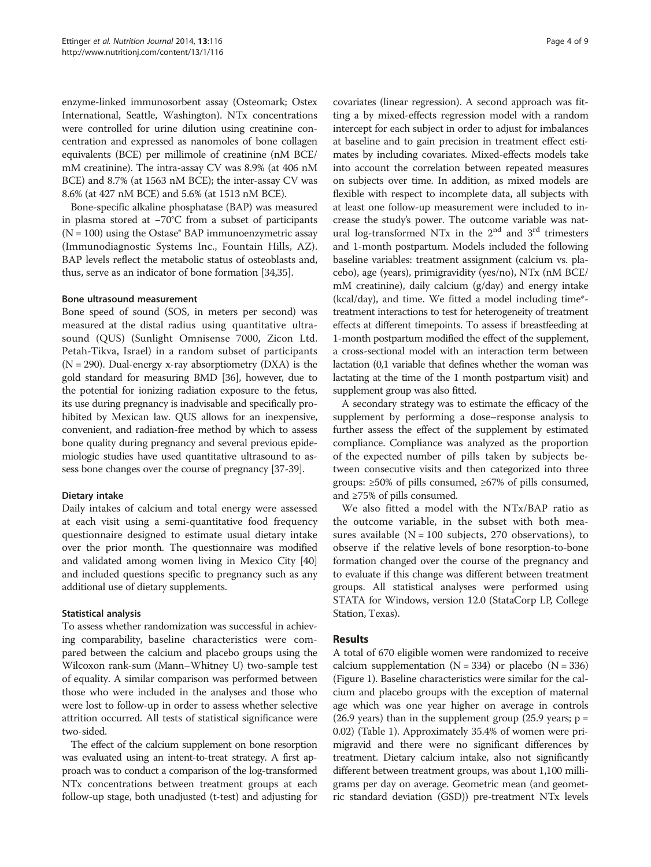enzyme-linked immunosorbent assay (Osteomark; Ostex International, Seattle, Washington). NTx concentrations were controlled for urine dilution using creatinine concentration and expressed as nanomoles of bone collagen equivalents (BCE) per millimole of creatinine (nM BCE/ mM creatinine). The intra-assay CV was 8.9% (at 406 nM BCE) and 8.7% (at 1563 nM BCE); the inter-assay CV was 8.6% (at 427 nM BCE) and 5.6% (at 1513 nM BCE).

Bone-specific alkaline phosphatase (BAP) was measured in plasma stored at −70°C from a subset of participants  $(N = 100)$  using the Ostase<sup>®</sup> BAP immunoenzymetric assay (Immunodiagnostic Systems Inc., Fountain Hills, AZ). BAP levels reflect the metabolic status of osteoblasts and, thus, serve as an indicator of bone formation [\[34,35](#page-8-0)].

### Bone ultrasound measurement

Bone speed of sound (SOS, in meters per second) was measured at the distal radius using quantitative ultrasound (QUS) (Sunlight Omnisense 7000, Zicon Ltd. Petah-Tikva, Israel) in a random subset of participants  $(N = 290)$ . Dual-energy x-ray absorptiometry  $(DXA)$  is the gold standard for measuring BMD [\[36\]](#page-8-0), however, due to the potential for ionizing radiation exposure to the fetus, its use during pregnancy is inadvisable and specifically prohibited by Mexican law. QUS allows for an inexpensive, convenient, and radiation-free method by which to assess bone quality during pregnancy and several previous epidemiologic studies have used quantitative ultrasound to assess bone changes over the course of pregnancy [\[37-39\]](#page-8-0).

# Dietary intake

Daily intakes of calcium and total energy were assessed at each visit using a semi-quantitative food frequency questionnaire designed to estimate usual dietary intake over the prior month. The questionnaire was modified and validated among women living in Mexico City [[40](#page-8-0)] and included questions specific to pregnancy such as any additional use of dietary supplements.

# Statistical analysis

To assess whether randomization was successful in achieving comparability, baseline characteristics were compared between the calcium and placebo groups using the Wilcoxon rank-sum (Mann–Whitney U) two-sample test of equality. A similar comparison was performed between those who were included in the analyses and those who were lost to follow-up in order to assess whether selective attrition occurred. All tests of statistical significance were two-sided.

The effect of the calcium supplement on bone resorption was evaluated using an intent-to-treat strategy. A first approach was to conduct a comparison of the log-transformed NTx concentrations between treatment groups at each follow-up stage, both unadjusted (t-test) and adjusting for

covariates (linear regression). A second approach was fitting a by mixed-effects regression model with a random intercept for each subject in order to adjust for imbalances at baseline and to gain precision in treatment effect estimates by including covariates. Mixed-effects models take into account the correlation between repeated measures on subjects over time. In addition, as mixed models are flexible with respect to incomplete data, all subjects with at least one follow-up measurement were included to increase the study's power. The outcome variable was natural log-transformed NTx in the  $2<sup>nd</sup>$  and  $3<sup>rd</sup>$  trimesters and 1-month postpartum. Models included the following baseline variables: treatment assignment (calcium vs. placebo), age (years), primigravidity (yes/no), NTx (nM BCE/ mM creatinine), daily calcium (g/day) and energy intake (kcal/day), and time. We fitted a model including time\* treatment interactions to test for heterogeneity of treatment effects at different timepoints. To assess if breastfeeding at 1-month postpartum modified the effect of the supplement, a cross-sectional model with an interaction term between lactation (0,1 variable that defines whether the woman was lactating at the time of the 1 month postpartum visit) and supplement group was also fitted.

A secondary strategy was to estimate the efficacy of the supplement by performing a dose–response analysis to further assess the effect of the supplement by estimated compliance. Compliance was analyzed as the proportion of the expected number of pills taken by subjects between consecutive visits and then categorized into three groups: ≥50% of pills consumed, ≥67% of pills consumed, and ≥75% of pills consumed.

We also fitted a model with the NTx/BAP ratio as the outcome variable, in the subset with both measures available ( $N = 100$  subjects, 270 observations), to observe if the relative levels of bone resorption-to-bone formation changed over the course of the pregnancy and to evaluate if this change was different between treatment groups. All statistical analyses were performed using STATA for Windows, version 12.0 (StataCorp LP, College Station, Texas).

# Results

A total of 670 eligible women were randomized to receive calcium supplementation  $(N = 334)$  or placebo  $(N = 336)$ (Figure [1](#page-2-0)). Baseline characteristics were similar for the calcium and placebo groups with the exception of maternal age which was one year higher on average in controls (26.9 years) than in the supplement group (25.9 years;  $p =$ 0.02) (Table [1](#page-4-0)). Approximately 35.4% of women were primigravid and there were no significant differences by treatment. Dietary calcium intake, also not significantly different between treatment groups, was about 1,100 milligrams per day on average. Geometric mean (and geometric standard deviation (GSD)) pre-treatment NTx levels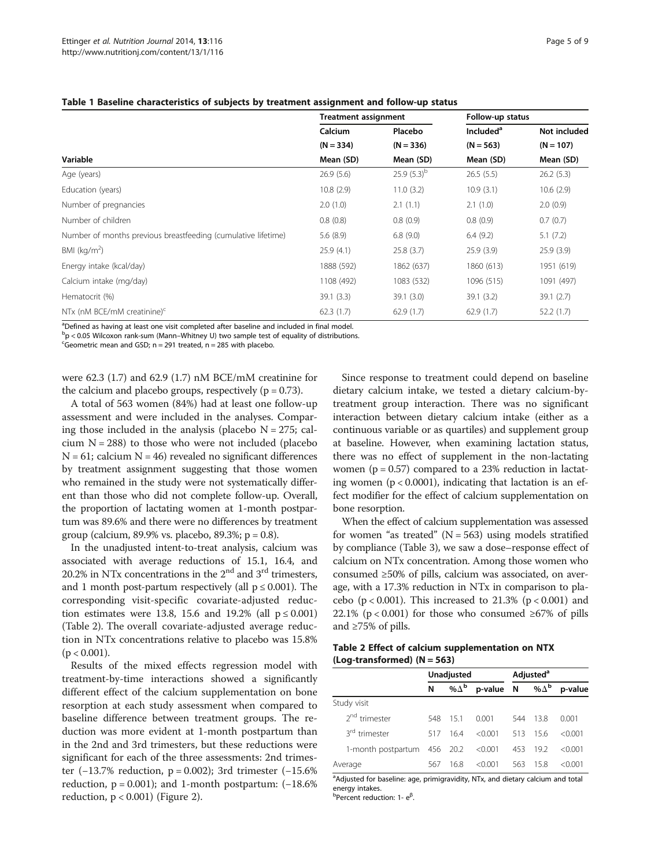<span id="page-4-0"></span>

|  |  | Table 1 Baseline characteristics of subjects by treatment assignment and follow-up status |
|--|--|-------------------------------------------------------------------------------------------|
|--|--|-------------------------------------------------------------------------------------------|

|                                                               | <b>Treatment assignment</b> |                | Follow-up status      |              |  |
|---------------------------------------------------------------|-----------------------------|----------------|-----------------------|--------------|--|
|                                                               | Calcium                     | Placebo        | Included <sup>a</sup> | Not included |  |
|                                                               | $(N = 334)$                 | $(N = 336)$    | $(N = 563)$           | $(N = 107)$  |  |
| Variable                                                      | Mean (SD)                   | Mean (SD)      | Mean (SD)             | Mean (SD)    |  |
| Age (years)                                                   | 26.9(5.6)                   | 25.9 $(5.3)^b$ | 26.5(5.5)             | 26.2(5.3)    |  |
| Education (years)                                             | 10.8(2.9)                   | 11.0(3.2)      | 10.9(3.1)             | 10.6(2.9)    |  |
| Number of pregnancies                                         | 2.0(1.0)                    | 2.1(1.1)       | 2.1(1.0)              | 2.0(0.9)     |  |
| Number of children                                            | 0.8(0.8)                    | 0.8(0.9)       | 0.8(0.9)              | 0.7(0.7)     |  |
| Number of months previous breastfeeding (cumulative lifetime) | 5.6(8.9)                    | 6.8(9.0)       | 6.4(9.2)              | 5.1(7.2)     |  |
| BMI ( $kg/m2$ )                                               | 25.9(4.1)                   | 25.8(3.7)      | 25.9(3.9)             | 25.9(3.9)    |  |
| Energy intake (kcal/day)                                      | 1888 (592)                  | 1862 (637)     | 1860 (613)            | 1951 (619)   |  |
| Calcium intake (mg/day)                                       | 1108 (492)                  | 1083 (532)     | 1096 (515)            | 1091 (497)   |  |
| Hematocrit (%)                                                | 39.1(3.3)                   | 39.1(3.0)      | 39.1(3.2)             | 39.1 (2.7)   |  |
| NTx (nM BCE/mM creatinine) $c$                                | 62.3(1.7)                   | 62.9(1.7)      | 62.9(1.7)             | 52.2(1.7)    |  |

<sup>a</sup>Defined as having at least one visit completed after baseline and included in final model.

 $\rm{^{b}}p$  < 0.05 Wilcoxon rank-sum (Mann–Whitney U) two sample test of equality of distributions.<br>Speametric mean and GSD: n = 291 trasted, n = 285 with placebo

<sup>c</sup>Geometric mean and GSD;  $n = 291$  treated,  $n = 285$  with placebo.

were 62.3 (1.7) and 62.9 (1.7) nM BCE/mM creatinine for the calcium and placebo groups, respectively ( $p = 0.73$ ).

A total of 563 women (84%) had at least one follow-up assessment and were included in the analyses. Comparing those included in the analysis (placebo  $N = 275$ ; calcium  $N = 288$ ) to those who were not included (placebo  $N = 61$ ; calcium  $N = 46$ ) revealed no significant differences by treatment assignment suggesting that those women who remained in the study were not systematically different than those who did not complete follow-up. Overall, the proportion of lactating women at 1-month postpartum was 89.6% and there were no differences by treatment group (calcium, 89.9% vs. placebo, 89.3%;  $p = 0.8$ ).

In the unadjusted intent-to-treat analysis, calcium was associated with average reductions of 15.1, 16.4, and 20.2% in NTx concentrations in the  $2<sup>nd</sup>$  and  $3<sup>rd</sup>$  trimesters, and 1 month post-partum respectively (all  $p \le 0.001$ ). The corresponding visit-specific covariate-adjusted reduction estimates were 13.8, 15.6 and 19.2% (all  $p \le 0.001$ ) (Table 2). The overall covariate-adjusted average reduction in NTx concentrations relative to placebo was 15.8%  $(p < 0.001)$ .

Results of the mixed effects regression model with treatment-by-time interactions showed a significantly different effect of the calcium supplementation on bone resorption at each study assessment when compared to baseline difference between treatment groups. The reduction was more evident at 1-month postpartum than in the 2nd and 3rd trimesters, but these reductions were significant for each of the three assessments: 2nd trimester (−13.7% reduction, p = 0.002); 3rd trimester (−15.6% reduction,  $p = 0.001$ ); and 1-month postpartum:  $(-18.6\%)$ reduction,  $p < 0.001$ ) (Figure [2](#page-5-0)).

Since response to treatment could depend on baseline dietary calcium intake, we tested a dietary calcium-bytreatment group interaction. There was no significant interaction between dietary calcium intake (either as a continuous variable or as quartiles) and supplement group at baseline. However, when examining lactation status, there was no effect of supplement in the non-lactating women ( $p = 0.57$ ) compared to a 23% reduction in lactating women ( $p < 0.0001$ ), indicating that lactation is an effect modifier for the effect of calcium supplementation on bone resorption.

When the effect of calcium supplementation was assessed for women "as treated" ( $N = 563$ ) using models stratified by compliance (Table [3\)](#page-5-0), we saw a dose–response effect of calcium on NTx concentration. Among those women who consumed ≥50% of pills, calcium was associated, on average, with a 17.3% reduction in NTx in comparison to placebo ( $p < 0.001$ ). This increased to 21.3% ( $p < 0.001$ ) and 22.1% ( $p < 0.001$ ) for those who consumed ≥67% of pills and ≥75% of pills.

| Table 2 Effect of calcium supplementation on NTX |  |  |
|--------------------------------------------------|--|--|
| $(Log-transformed)$ $(N = 563)$                  |  |  |

|                           | Unadjusted |                         |           |     | Adjusted <sup>a</sup> |           |
|---------------------------|------------|-------------------------|-----------|-----|-----------------------|-----------|
|                           | N          | % $\Delta^{\mathbf{b}}$ | p-value N |     | %∆ <sup>b</sup>       | p-value   |
| Study visit               |            |                         |           |     |                       |           |
| 2 <sup>nd</sup> trimester | 548        | 151                     | 0.001     | 544 | 138                   | 0.001     |
| 3 <sup>rd</sup> trimester | 517        | 164                     | < 0.001   | 513 | 156                   | $<$ 0.001 |
| 1-month postpartum        | 456        | 20.2                    | < 0.001   | 453 | 19.2                  | $<$ 0.001 |
| Average                   | 567        | 16.8                    | < 0.001   | 563 | 158                   | $<$ 0.001 |

<sup>a</sup>Adjusted for baseline: age, primigravidity, NTx, and dietary calcium and total energy intakes.

b<sub>Percent reduction: 1- e<sup>ß</sup></sub> .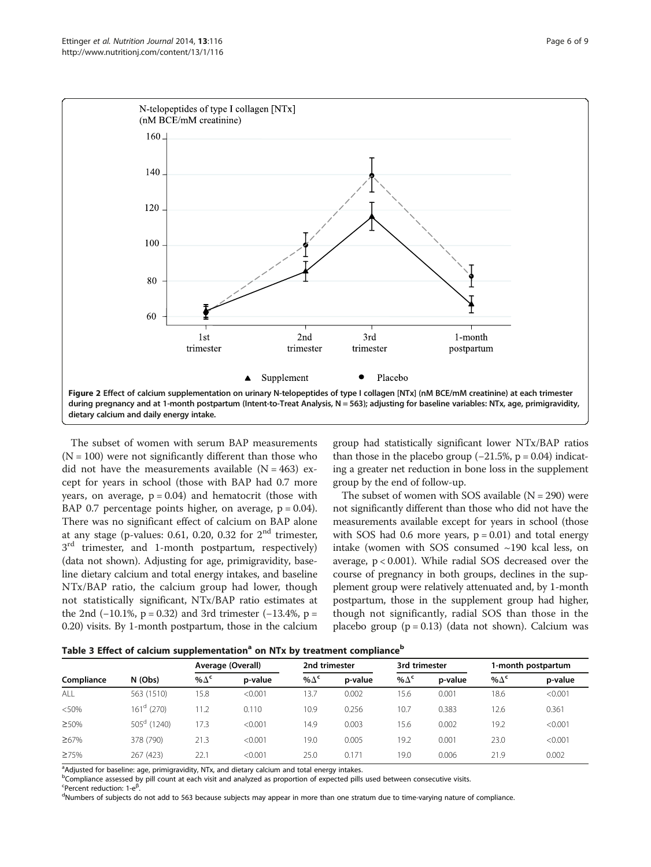<span id="page-5-0"></span>

The subset of women with serum BAP measurements  $(N = 100)$  were not significantly different than those who did not have the measurements available  $(N = 463)$  except for years in school (those with BAP had 0.7 more years, on average,  $p = 0.04$ ) and hematocrit (those with BAP 0.7 percentage points higher, on average,  $p = 0.04$ ). There was no significant effect of calcium on BAP alone at any stage (p-values: 0.61, 0.20, 0.32 for  $2<sup>nd</sup>$  trimester,  $3<sup>rd</sup>$  trimester, and 1-month postpartum, respectively) (data not shown). Adjusting for age, primigravidity, baseline dietary calcium and total energy intakes, and baseline NTx/BAP ratio, the calcium group had lower, though not statistically significant, NTx/BAP ratio estimates at the 2nd (−10.1%, p = 0.32) and 3rd trimester (−13.4%, p = 0.20) visits. By 1-month postpartum, those in the calcium

group had statistically significant lower NTx/BAP ratios than those in the placebo group  $(-21.5\% , p = 0.04)$  indicating a greater net reduction in bone loss in the supplement group by the end of follow-up.

The subset of women with SOS available  $(N = 290)$  were not significantly different than those who did not have the measurements available except for years in school (those with SOS had 0.6 more years,  $p = 0.01$ ) and total energy intake (women with SOS consumed ~190 kcal less, on average, p < 0.001). While radial SOS decreased over the course of pregnancy in both groups, declines in the supplement group were relatively attenuated and, by 1-month postpartum, those in the supplement group had higher, though not significantly, radial SOS than those in the placebo group  $(p = 0.13)$  (data not shown). Calcium was

|  | Table 3 Effect of calcium supplementation <sup>a</sup> on NTx by treatment compliance <sup>b</sup> |  |  |
|--|----------------------------------------------------------------------------------------------------|--|--|
|  |                                                                                                    |  |  |

| . .         |                      |                   |         |               |         |               |         |                    |         |
|-------------|----------------------|-------------------|---------|---------------|---------|---------------|---------|--------------------|---------|
|             |                      | Average (Overall) |         | 2nd trimester |         | 3rd trimester |         | 1-month postpartum |         |
| Compliance  | N (Obs)              | % $\Delta^c$      | p-value | % $\Delta^c$  | p-value | % $\Delta^c$  | p-value | % $\Delta^c$       | p-value |
| ALL         | 563 (1510)           | 15.8              | < 0.001 | 13.7          | 0.002   | 15.6          | 0.001   | 18.6               | < 0.001 |
| < 50%       | $161^d$ (270)        | 11.2              | 0.110   | 10.9          | 0.256   | 10.7          | 0.383   | 12.6               | 0.361   |
| ≥50%        | $505^{\circ}$ (1240) | 17.3              | < 0.001 | 14.9          | 0.003   | 15.6          | 0.002   | 19.2               | < 0.001 |
| ≥67%        | 378 (790)            | 21.3              | < 0.001 | 19.0          | 0.005   | 19.2          | 0.001   | 23.0               | < 0.001 |
| $\geq 75\%$ | 267 (423)            | 22.7              | < 0.001 | 25.0          | 0.171   | 19.0          | 0.006   | 21.9               | 0.002   |
|             |                      |                   |         |               |         |               |         |                    |         |

<sup>a</sup>Adjusted for baseline: age, primigravidity, NTx, and dietary calcium and total energy intakes.

<sup>b</sup>Compliance assessed by pill count at each visit and analyzed as proportion of expected pills used between consecutive visits.

<sup>c</sup>Percent reduction: 1-e<sup>β</sup>.<br><sup>d</sup>Numbers of subjects de

<sup>d</sup>Numbers of subjects do not add to 563 because subjects may appear in more than one stratum due to time-varying nature of compliance.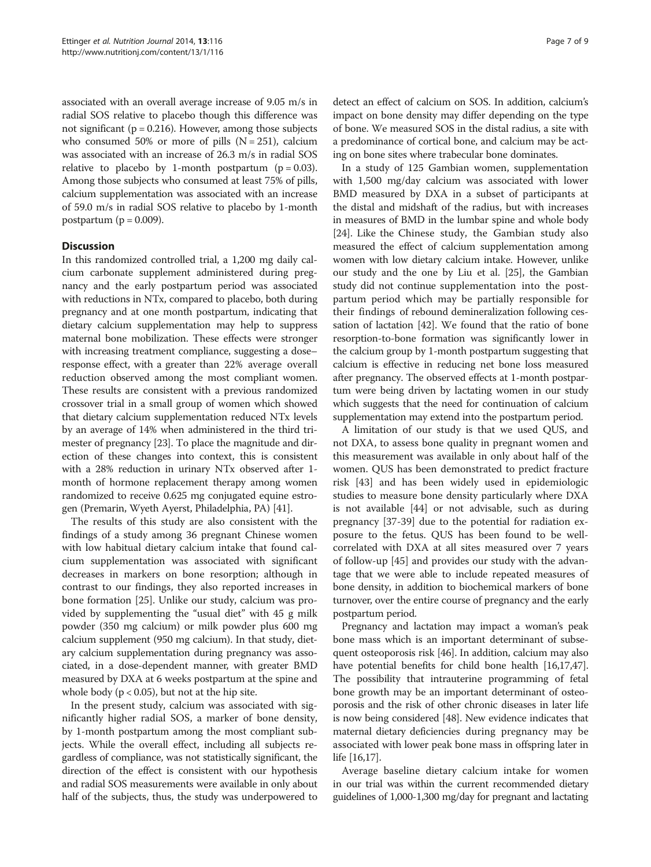associated with an overall average increase of 9.05 m/s in radial SOS relative to placebo though this difference was not significant ( $p = 0.216$ ). However, among those subjects who consumed 50% or more of pills  $(N = 251)$ , calcium was associated with an increase of 26.3 m/s in radial SOS relative to placebo by 1-month postpartum ( $p = 0.03$ ). Among those subjects who consumed at least 75% of pills, calcium supplementation was associated with an increase of 59.0 m/s in radial SOS relative to placebo by 1-month postpartum ( $p = 0.009$ ).

# **Discussion**

In this randomized controlled trial, a 1,200 mg daily calcium carbonate supplement administered during pregnancy and the early postpartum period was associated with reductions in NTx, compared to placebo, both during pregnancy and at one month postpartum, indicating that dietary calcium supplementation may help to suppress maternal bone mobilization. These effects were stronger with increasing treatment compliance, suggesting a dose– response effect, with a greater than 22% average overall reduction observed among the most compliant women. These results are consistent with a previous randomized crossover trial in a small group of women which showed that dietary calcium supplementation reduced NTx levels by an average of 14% when administered in the third trimester of pregnancy [[23](#page-8-0)]. To place the magnitude and direction of these changes into context, this is consistent with a 28% reduction in urinary NTx observed after 1 month of hormone replacement therapy among women randomized to receive 0.625 mg conjugated equine estrogen (Premarin, Wyeth Ayerst, Philadelphia, PA) [[41\]](#page-8-0).

The results of this study are also consistent with the findings of a study among 36 pregnant Chinese women with low habitual dietary calcium intake that found calcium supplementation was associated with significant decreases in markers on bone resorption; although in contrast to our findings, they also reported increases in bone formation [[25\]](#page-8-0). Unlike our study, calcium was provided by supplementing the "usual diet" with 45 g milk powder (350 mg calcium) or milk powder plus 600 mg calcium supplement (950 mg calcium). In that study, dietary calcium supplementation during pregnancy was associated, in a dose-dependent manner, with greater BMD measured by DXA at 6 weeks postpartum at the spine and whole body ( $p < 0.05$ ), but not at the hip site.

In the present study, calcium was associated with significantly higher radial SOS, a marker of bone density, by 1-month postpartum among the most compliant subjects. While the overall effect, including all subjects regardless of compliance, was not statistically significant, the direction of the effect is consistent with our hypothesis and radial SOS measurements were available in only about half of the subjects, thus, the study was underpowered to

detect an effect of calcium on SOS. In addition, calcium's impact on bone density may differ depending on the type of bone. We measured SOS in the distal radius, a site with a predominance of cortical bone, and calcium may be acting on bone sites where trabecular bone dominates.

In a study of 125 Gambian women, supplementation with 1,500 mg/day calcium was associated with lower BMD measured by DXA in a subset of participants at the distal and midshaft of the radius, but with increases in measures of BMD in the lumbar spine and whole body [[24](#page-8-0)]. Like the Chinese study, the Gambian study also measured the effect of calcium supplementation among women with low dietary calcium intake. However, unlike our study and the one by Liu et al. [\[25\]](#page-8-0), the Gambian study did not continue supplementation into the postpartum period which may be partially responsible for their findings of rebound demineralization following cessation of lactation [\[42\]](#page-8-0). We found that the ratio of bone resorption-to-bone formation was significantly lower in the calcium group by 1-month postpartum suggesting that calcium is effective in reducing net bone loss measured after pregnancy. The observed effects at 1-month postpartum were being driven by lactating women in our study which suggests that the need for continuation of calcium supplementation may extend into the postpartum period.

A limitation of our study is that we used QUS, and not DXA, to assess bone quality in pregnant women and this measurement was available in only about half of the women. QUS has been demonstrated to predict fracture risk [\[43](#page-8-0)] and has been widely used in epidemiologic studies to measure bone density particularly where DXA is not available [\[44](#page-8-0)] or not advisable, such as during pregnancy [[37](#page-8-0)-[39\]](#page-8-0) due to the potential for radiation exposure to the fetus. QUS has been found to be wellcorrelated with DXA at all sites measured over 7 years of follow-up [[45\]](#page-8-0) and provides our study with the advantage that we were able to include repeated measures of bone density, in addition to biochemical markers of bone turnover, over the entire course of pregnancy and the early postpartum period.

Pregnancy and lactation may impact a woman's peak bone mass which is an important determinant of subsequent osteoporosis risk [\[46\]](#page-8-0). In addition, calcium may also have potential benefits for child bone health [\[16,17,47](#page-8-0)]. The possibility that intrauterine programming of fetal bone growth may be an important determinant of osteoporosis and the risk of other chronic diseases in later life is now being considered [\[48\]](#page-8-0). New evidence indicates that maternal dietary deficiencies during pregnancy may be associated with lower peak bone mass in offspring later in life  $|16,17|$ .

Average baseline dietary calcium intake for women in our trial was within the current recommended dietary guidelines of 1,000-1,300 mg/day for pregnant and lactating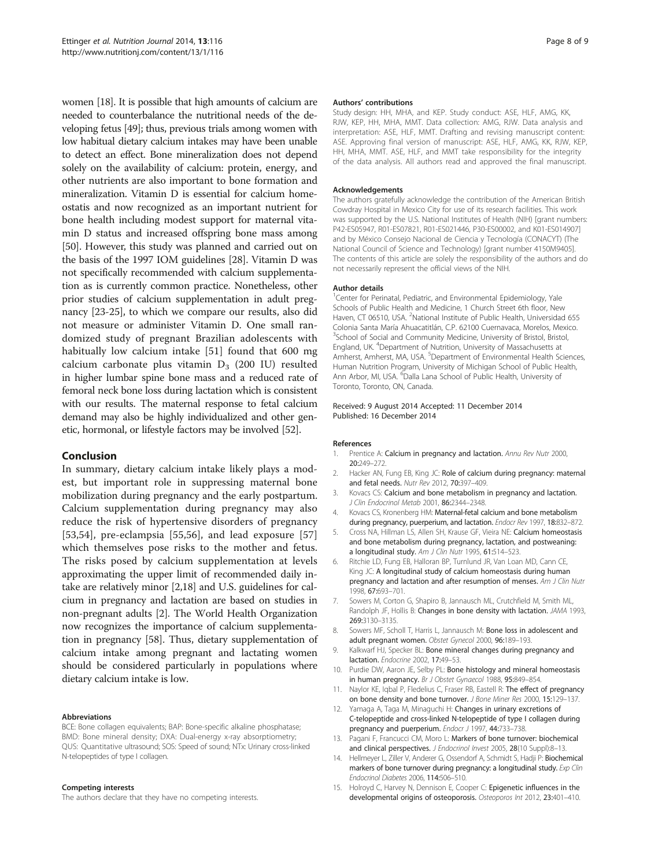<span id="page-7-0"></span>women [\[18\]](#page-8-0). It is possible that high amounts of calcium are needed to counterbalance the nutritional needs of the developing fetus [\[49\]](#page-8-0); thus, previous trials among women with low habitual dietary calcium intakes may have been unable to detect an effect. Bone mineralization does not depend solely on the availability of calcium: protein, energy, and other nutrients are also important to bone formation and mineralization. Vitamin D is essential for calcium homeostatis and now recognized as an important nutrient for bone health including modest support for maternal vitamin D status and increased offspring bone mass among [[50](#page-8-0)]. However, this study was planned and carried out on the basis of the 1997 IOM guidelines [\[28\]](#page-8-0). Vitamin D was not specifically recommended with calcium supplementation as is currently common practice. Nonetheless, other prior studies of calcium supplementation in adult pregnancy [[23](#page-8-0)-[25\]](#page-8-0), to which we compare our results, also did not measure or administer Vitamin D. One small randomized study of pregnant Brazilian adolescents with habitually low calcium intake [[51\]](#page-8-0) found that 600 mg calcium carbonate plus vitamin  $D_3$  (200 IU) resulted in higher lumbar spine bone mass and a reduced rate of femoral neck bone loss during lactation which is consistent with our results. The maternal response to fetal calcium demand may also be highly individualized and other genetic, hormonal, or lifestyle factors may be involved [\[52](#page-8-0)].

### Conclusion

In summary, dietary calcium intake likely plays a modest, but important role in suppressing maternal bone mobilization during pregnancy and the early postpartum. Calcium supplementation during pregnancy may also reduce the risk of hypertensive disorders of pregnancy [[53,54](#page-8-0)], pre-eclampsia [\[55,56](#page-8-0)], and lead exposure [\[57](#page-8-0)] which themselves pose risks to the mother and fetus. The risks posed by calcium supplementation at levels approximating the upper limit of recommended daily intake are relatively minor [2[,18](#page-8-0)] and U.S. guidelines for calcium in pregnancy and lactation are based on studies in non-pregnant adults [2]. The World Health Organization now recognizes the importance of calcium supplementation in pregnancy [\[58\]](#page-8-0). Thus, dietary supplementation of calcium intake among pregnant and lactating women should be considered particularly in populations where dietary calcium intake is low.

#### Abbreviations

BCE: Bone collagen equivalents; BAP: Bone-specific alkaline phosphatase; BMD: Bone mineral density; DXA: Dual-energy x-ray absorptiometry; QUS: Quantitative ultrasound; SOS: Speed of sound; NTx: Urinary cross-linked N-telopeptides of type I collagen.

#### Competing interests

The authors declare that they have no competing interests.

#### Authors' contributions

Study design: HH, MHA, and KEP. Study conduct: ASE, HLF, AMG, KK, RJW, KEP, HH, MHA, MMT. Data collection: AMG, RJW. Data analysis and interpretation: ASE, HLF, MMT. Drafting and revising manuscript content: ASE. Approving final version of manuscript: ASE, HLF, AMG, KK, RJW, KEP, HH, MHA, MMT. ASE, HLF, and MMT take responsibility for the integrity of the data analysis. All authors read and approved the final manuscript.

#### Acknowledgements

The authors gratefully acknowledge the contribution of the American British Cowdray Hospital in Mexico City for use of its research facilities. This work was supported by the U.S. National Institutes of Health (NIH) [grant numbers: P42-ES05947, R01-ES07821, R01-ES021446, P30-ES00002, and K01-ES014907] and by México Consejo Nacional de Ciencia y Tecnología (CONACYT) (The National Council of Science and Technology) [grant number 4150M9405]. The contents of this article are solely the responsibility of the authors and do not necessarily represent the official views of the NIH.

#### Author details

<sup>1</sup> Center for Perinatal, Pediatric, and Environmental Epidemiology, Yale Schools of Public Health and Medicine, 1 Church Street 6th floor, New Haven, CT 06510, USA. <sup>2</sup>National Institute of Public Health, Universidad 655 Colonia Santa María Ahuacatitlán, C.P. 62100 Cuernavaca, Morelos, Mexico. <sup>3</sup>School of Social and Community Medicine, University of Bristol, Bristol, England, UK. <sup>4</sup> Department of Nutrition, University of Massachusetts at Amherst, Amherst, MA, USA. <sup>5</sup>Department of Environmental Health Sciences Human Nutrition Program, University of Michigan School of Public Health, Ann Arbor, MI, USA. <sup>6</sup>Dalla Lana School of Public Health, University of Toronto, Toronto, ON, Canada.

#### Received: 9 August 2014 Accepted: 11 December 2014 Published: 16 December 2014

#### References

- 1. Prentice A: Calcium in pregnancy and lactation. Annu Rev Nutr 2000, 20:249–272.
- 2. Hacker AN, Fung EB, King JC: Role of calcium during pregnancy: maternal and fetal needs. Nutr Rev 2012, 70:397–409.
- 3. Kovacs CS: Calcium and bone metabolism in pregnancy and lactation. J Clin Endocrinol Metab 2001, 86:2344–2348.
- 4. Kovacs CS, Kronenberg HM: Maternal-fetal calcium and bone metabolism during pregnancy, puerperium, and lactation. Endocr Rev 1997, 18:832-872.
- 5. Cross NA, Hillman LS, Allen SH, Krause GF, Vieira NE: Calcium homeostasis and bone metabolism during pregnancy, lactation, and postweaning: a longitudinal study. Am J Clin Nutr 1995, 61:514-523.
- 6. Ritchie LD, Fung EB, Halloran BP, Turnlund JR, Van Loan MD, Cann CE, King JC: A longitudinal study of calcium homeostasis during human pregnancy and lactation and after resumption of menses. Am J Clin Nutr 1998, 67:693–701.
- 7. Sowers M, Corton G, Shapiro B, Jannausch ML, Crutchfield M, Smith ML, Randolph JF, Hollis B: Changes in bone density with lactation. JAMA 1993, 269:3130–3135.
- 8. Sowers MF, Scholl T, Harris L, Jannausch M: Bone loss in adolescent and adult pregnant women. Obstet Gynecol 2000, 96:189–193.
- 9. Kalkwarf HJ, Specker BL: Bone mineral changes during pregnancy and lactation. Endocrine 2002, 17:49–53.
- 10. Purdie DW, Aaron JE, Selby PL: Bone histology and mineral homeostasis in human pregnancy. Br J Obstet Gynaecol 1988, 95:849–854.
- 11. Naylor KE, Iqbal P, Fledelius C, Fraser RB, Eastell R: The effect of pregnancy on bone density and bone turnover. J Bone Miner Res 2000, 15:129–137.
- 12. Yamaga A, Taga M, Minaguchi H: Changes in urinary excretions of C-telopeptide and cross-linked N-telopeptide of type I collagen during pregnancy and puerperium. Endocr J 1997, 44:733-738.
- 13. Pagani F, Francucci CM, Moro L: Markers of bone turnover: biochemical and clinical perspectives. J Endocrinol Invest 2005, 28(10 Suppl):8-13.
- 14. Hellmeyer L, Ziller V, Anderer G, Ossendorf A, Schmidt S, Hadji P: Biochemical markers of bone turnover during pregnancy: a longitudinal study. Exp Clin Endocrinol Diabetes 2006, 114:506–510.
- 15. Holroyd C, Harvey N, Dennison E, Cooper C: Epigenetic influences in the developmental origins of osteoporosis. Osteoporos Int 2012, 23:401–410.